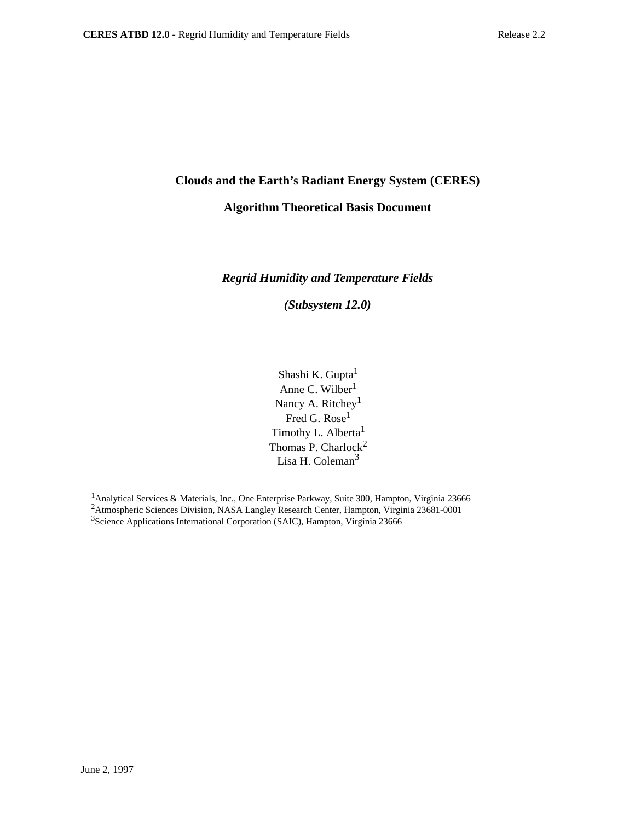# **Clouds and the Earth's Radiant Energy System (CERES)**

## **Algorithm Theoretical Basis Document**

## *Regrid Humidity and Temperature Fields*

*(Subsystem 12.0)*

Shashi K. Gupta<sup>1</sup> Anne C. Wilber<sup>1</sup> Nancy A. Ritchey<sup>1</sup> Fred G. Rose<sup>1</sup> Timothy L. Alberta<sup>1</sup> Thomas P. Charlock<sup>2</sup> Lisa H. Coleman<sup>3</sup>

<sup>1</sup> Analytical Services & Materials, Inc., One Enterprise Parkway, Suite 300, Hampton, Virginia 23666 <sup>2</sup> Atmospheric Sciences Division, NASA Langley Research Center, Hampton, Virginia 23681-0001 3Science Applications International Corporation (SAIC), Hampton, Virginia 23666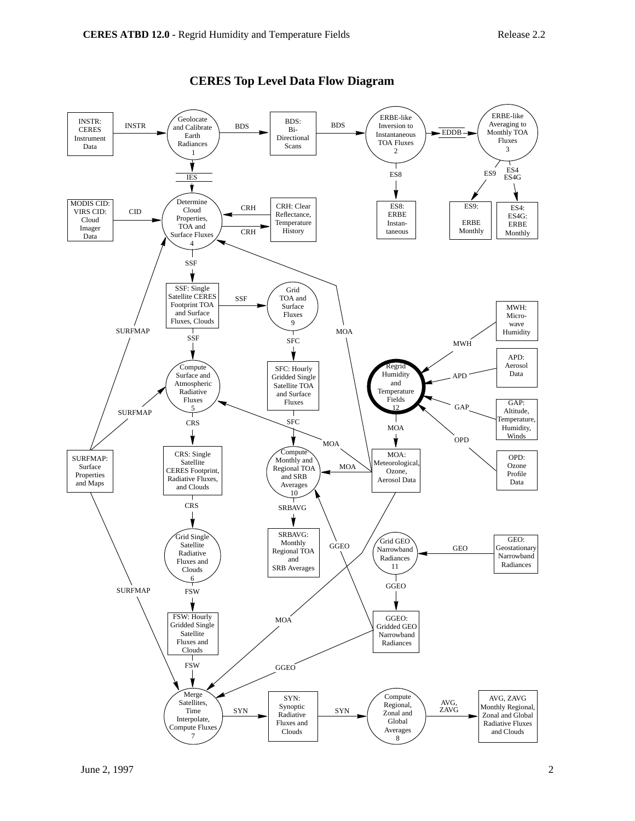

## **CERES Top Level Data Flow Diagram**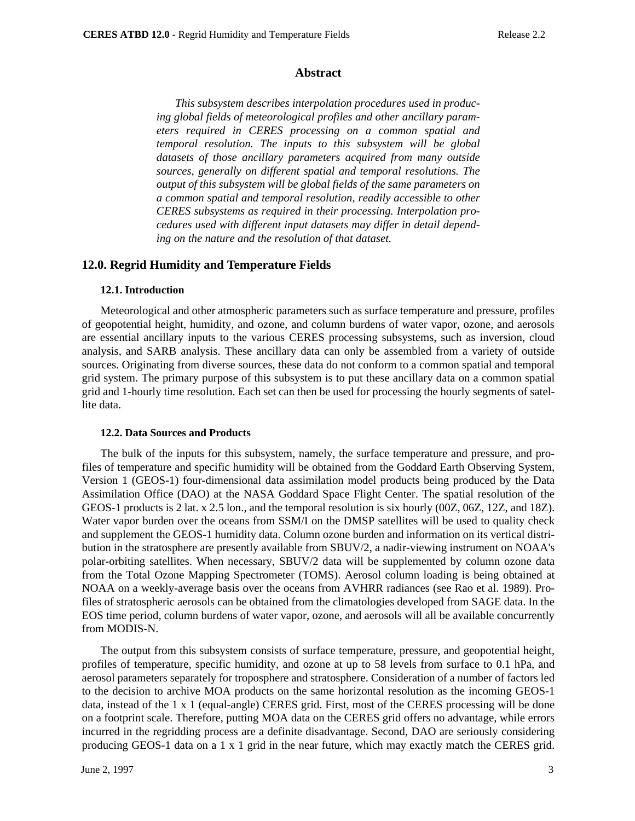#### **Abstract**

*This subsystem describes interpolation procedures used in producing global fields of meteorological profiles and other ancillary parameters required in CERES processing on a common spatial and temporal resolution. The inputs to this subsystem will be global datasets of those ancillary parameters acquired from many outside sources, generally on different spatial and temporal resolutions. The output of this subsystem will be global fields of the same parameters on a common spatial and temporal resolution, readily accessible to other CERES subsystems as required in their processing. Interpolation procedures used with different input datasets may differ in detail depending on the nature and the resolution of that dataset.*

### **12.0. Regrid Humidity and Temperature Fields**

#### **12.1. Introduction**

Meteorological and other atmospheric parameters such as surface temperature and pressure, profiles of geopotential height, humidity, and ozone, and column burdens of water vapor, ozone, and aerosols are essential ancillary inputs to the various CERES processing subsystems, such as inversion, cloud analysis, and SARB analysis. These ancillary data can only be assembled from a variety of outside sources. Originating from diverse sources, these data do not conform to a common spatial and temporal grid system. The primary purpose of this subsystem is to put these ancillary data on a common spatial grid and 1-hourly time resolution. Each set can then be used for processing the hourly segments of satellite data.

#### **12.2. Data Sources and Products**

The bulk of the inputs for this subsystem, namely, the surface temperature and pressure, and profiles of temperature and specific humidity will be obtained from the Goddard Earth Observing System, Version 1 (GEOS-1) four-dimensional data assimilation model products being produced by the Data Assimilation Office (DAO) at the NASA Goddard Space Flight Center. The spatial resolution of the GEOS-1 products is 2 lat. x 2.5 lon., and the temporal resolution is six hourly (00Z, 06Z, 12Z, and 18Z). Water vapor burden over the oceans from SSM/I on the DMSP satellites will be used to quality check and supplement the GEOS-1 humidity data. Column ozone burden and information on its vertical distribution in the stratosphere are presently available from SBUV/2, a nadir-viewing instrument on NOAA's polar-orbiting satellites. When necessary, SBUV/2 data will be supplemented by column ozone data from the Total Ozone Mapping Spectrometer (TOMS). Aerosol column loading is being obtained at NOAA on a weekly-average basis over the oceans from AVHRR radiances (see Rao et al. 1989). Profiles of stratospheric aerosols can be obtained from the climatologies developed from SAGE data. In the EOS time period, column burdens of water vapor, ozone, and aerosols will all be available concurrently from MODIS-N.

The output from this subsystem consists of surface temperature, pressure, and geopotential height, profiles of temperature, specific humidity, and ozone at up to 58 levels from surface to 0.1 hPa, and aerosol parameters separately for troposphere and stratosphere. Consideration of a number of factors led to the decision to archive MOA products on the same horizontal resolution as the incoming GEOS-1 data, instead of the 1 x 1 (equal-angle) CERES grid. First, most of the CERES processing will be done on a footprint scale. Therefore, putting MOA data on the CERES grid offers no advantage, while errors incurred in the regridding process are a definite disadvantage. Second, DAO are seriously considering producing GEOS-1 data on a 1 x 1 grid in the near future, which may exactly match the CERES grid.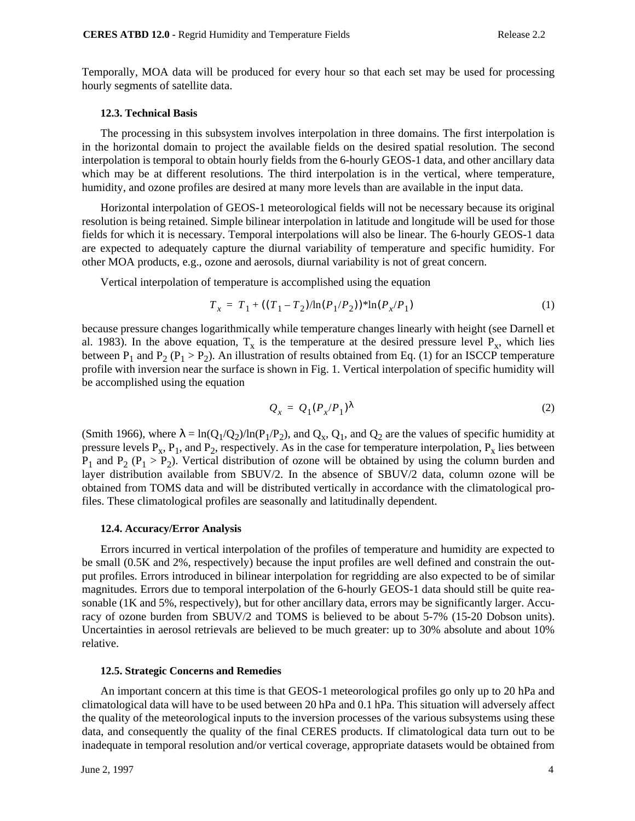Temporally, MOA data will be produced for every hour so that each set may be used for processing hourly segments of satellite data.

#### **12.3. Technical Basis**

The processing in this subsystem involves interpolation in three domains. The first interpolation is in the horizontal domain to project the available fields on the desired spatial resolution. The second interpolation is temporal to obtain hourly fields from the 6-hourly GEOS-1 data, and other ancillary data which may be at different resolutions. The third interpolation is in the vertical, where temperature, humidity, and ozone profiles are desired at many more levels than are available in the input data.

Horizontal interpolation of GEOS-1 meteorological fields will not be necessary because its original resolution is being retained. Simple bilinear interpolation in latitude and longitude will be used for those fields for which it is necessary. Temporal interpolations will also be linear. The 6-hourly GEOS-1 data are expected to adequately capture the diurnal variability of temperature and specific humidity. For other MOA products, e.g., ozone and aerosols, diurnal variability is not of great concern.

Vertical interpolation of temperature is accomplished using the equation

$$
T_x = T_1 + ((T_1 - T_2)/\ln(P_1/P_2))^* \ln(P_x/P_1)
$$
 (1)

because pressure changes logarithmically while temperature changes linearly with height (see Darnell et al. 1983). In the above equation,  $T_x$  is the temperature at the desired pressure level  $P_x$ , which lies between  $P_1$  and  $P_2$  ( $P_1 > P_2$ ). An illustration of results obtained from Eq. (1) for an ISCCP temperature profile with inversion near the surface is shown in Fig. 1. Vertical interpolation of specific humidity will be accomplished using the equation

$$
Q_x = Q_1 (P_x / P_1)^{\lambda} \tag{2}
$$

(Smith 1966), where  $\lambda = \ln(Q_1/Q_2)/\ln(P_1/P_2)$ , and  $Q_x$ ,  $Q_1$ , and  $Q_2$  are the values of specific humidity at pressure levels  $P_x$ ,  $P_1$ , and  $P_2$ , respectively. As in the case for temperature interpolation,  $P_x$  lies between  $P_1$  and  $P_2$  ( $P_1 > P_2$ ). Vertical distribution of ozone will be obtained by using the column burden and layer distribution available from SBUV/2. In the absence of SBUV/2 data, column ozone will be obtained from TOMS data and will be distributed vertically in accordance with the climatological profiles. These climatological profiles are seasonally and latitudinally dependent.

#### **12.4. Accuracy/Error Analysis**

Errors incurred in vertical interpolation of the profiles of temperature and humidity are expected to be small (0.5K and 2%, respectively) because the input profiles are well defined and constrain the output profiles. Errors introduced in bilinear interpolation for regridding are also expected to be of similar magnitudes. Errors due to temporal interpolation of the 6-hourly GEOS-1 data should still be quite reasonable (1K and 5%, respectively), but for other ancillary data, errors may be significantly larger. Accuracy of ozone burden from SBUV/2 and TOMS is believed to be about 5-7% (15-20 Dobson units). Uncertainties in aerosol retrievals are believed to be much greater: up to 30% absolute and about 10% relative.

#### **12.5. Strategic Concerns and Remedies**

An important concern at this time is that GEOS-1 meteorological profiles go only up to 20 hPa and climatological data will have to be used between 20 hPa and 0.1 hPa. This situation will adversely affect the quality of the meteorological inputs to the inversion processes of the various subsystems using these data, and consequently the quality of the final CERES products. If climatological data turn out to be inadequate in temporal resolution and/or vertical coverage, appropriate datasets would be obtained from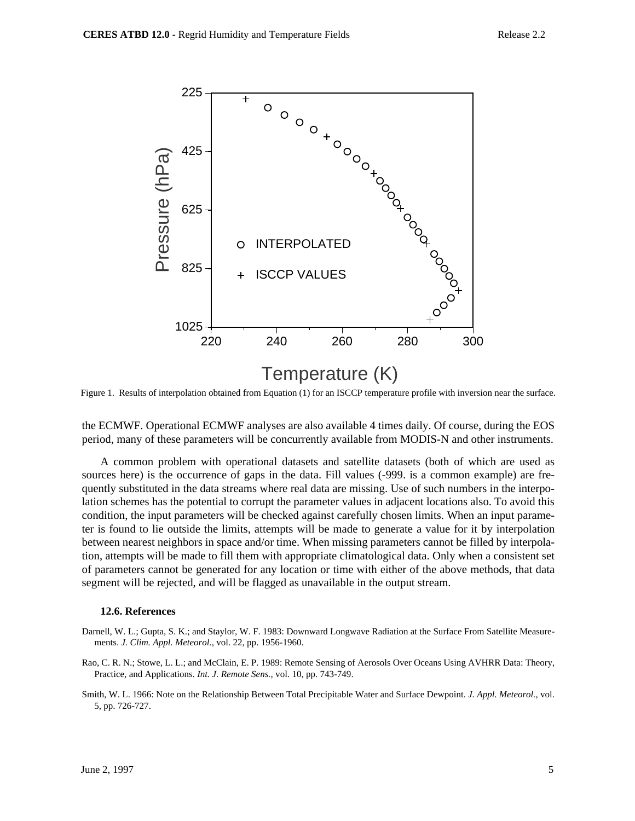

Figure 1. Results of interpolation obtained from Equation (1) for an ISCCP temperature profile with inversion near the surface.

the ECMWF. Operational ECMWF analyses are also available 4 times daily. Of course, during the EOS period, many of these parameters will be concurrently available from MODIS-N and other instruments.

A common problem with operational datasets and satellite datasets (both of which are used as sources here) is the occurrence of gaps in the data. Fill values (-999. is a common example) are frequently substituted in the data streams where real data are missing. Use of such numbers in the interpolation schemes has the potential to corrupt the parameter values in adjacent locations also. To avoid this condition, the input parameters will be checked against carefully chosen limits. When an input parameter is found to lie outside the limits, attempts will be made to generate a value for it by interpolation between nearest neighbors in space and/or time. When missing parameters cannot be filled by interpolation, attempts will be made to fill them with appropriate climatological data. Only when a consistent set of parameters cannot be generated for any location or time with either of the above methods, that data segment will be rejected, and will be flagged as unavailable in the output stream.

#### **12.6. References**

- Darnell, W. L.; Gupta, S. K.; and Staylor, W. F. 1983: Downward Longwave Radiation at the Surface From Satellite Measurements. *J. Clim. Appl. Meteorol.*, vol. 22, pp. 1956-1960.
- Rao, C. R. N.; Stowe, L. L.; and McClain, E. P. 1989: Remote Sensing of Aerosols Over Oceans Using AVHRR Data: Theory, Practice, and Applications. *Int. J. Remote Sens.*, vol. 10, pp. 743-749.
- Smith, W. L. 1966: Note on the Relationship Between Total Precipitable Water and Surface Dewpoint. *J. Appl. Meteorol.*, vol. 5, pp. 726-727.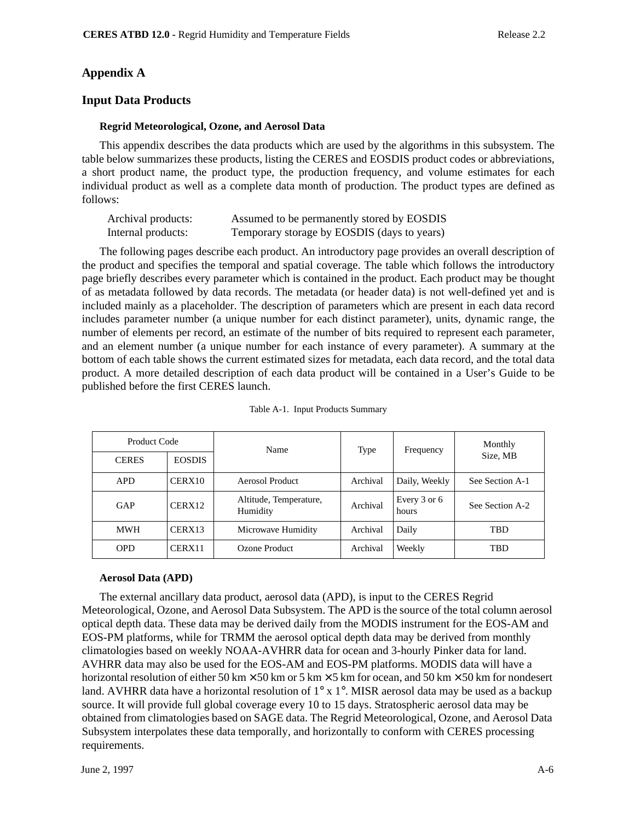## **Appendix A**

## **Input Data Products**

### **Regrid Meteorological, Ozone, and Aerosol Data**

This appendix describes the data products which are used by the algorithms in this subsystem. The table below summarizes these products, listing the CERES and EOSDIS product codes or abbreviations, a short product name, the product type, the production frequency, and volume estimates for each individual product as well as a complete data month of production. The product types are defined as follows:

| Archival products: | Assumed to be permanently stored by EOSDIS  |
|--------------------|---------------------------------------------|
| Internal products: | Temporary storage by EOSDIS (days to years) |

The following pages describe each product. An introductory page provides an overall description of the product and specifies the temporal and spatial coverage. The table which follows the introductory page briefly describes every parameter which is contained in the product. Each product may be thought of as metadata followed by data records. The metadata (or header data) is not well-defined yet and is included mainly as a placeholder. The description of parameters which are present in each data record includes parameter number (a unique number for each distinct parameter), units, dynamic range, the number of elements per record, an estimate of the number of bits required to represent each parameter, and an element number (a unique number for each instance of every parameter). A summary at the bottom of each table shows the current estimated sizes for metadata, each data record, and the total data product. A more detailed description of each data product will be contained in a User's Guide to be published before the first CERES launch.

| Product Code<br>Name |                    | Type                               | Frequency | Monthly               |                 |  |
|----------------------|--------------------|------------------------------------|-----------|-----------------------|-----------------|--|
| <b>CERES</b>         | <b>EOSDIS</b>      |                                    |           |                       | Size, MB        |  |
| <b>APD</b>           | CERX10             | Aerosol Product                    | Archival  | Daily, Weekly         | See Section A-1 |  |
| GAP                  | CERX <sub>12</sub> | Altitude, Temperature,<br>Humidity | Archival  | Every 3 or 6<br>hours | See Section A-2 |  |
| <b>MWH</b>           | CERX13             | Microwave Humidity                 | Archival  | Daily                 | TBD             |  |
| <b>OPD</b>           | CERX11             | Ozone Product                      | Archival  | Weekly                | TBD             |  |

| Table A-1. Input Products Summary |  |  |
|-----------------------------------|--|--|
|                                   |  |  |

### **Aerosol Data (APD)**

The external ancillary data product, aerosol data (APD), is input to the CERES Regrid Meteorological, Ozone, and Aerosol Data Subsystem. The APD is the source of the total column aerosol optical depth data. These data may be derived daily from the MODIS instrument for the EOS-AM and EOS-PM platforms, while for TRMM the aerosol optical depth data may be derived from monthly climatologies based on weekly NOAA-AVHRR data for ocean and 3-hourly Pinker data for land. AVHRR data may also be used for the EOS-AM and EOS-PM platforms. MODIS data will have a horizontal resolution of either 50 km  $\times$  50 km or 5 km  $\times$  5 km for ocean, and 50 km  $\times$  50 km for nondesert land. AVHRR data have a horizontal resolution of  $1^\circ$  x  $1^\circ$ . MISR aerosol data may be used as a backup source. It will provide full global coverage every 10 to 15 days. Stratospheric aerosol data may be obtained from climatologies based on SAGE data. The Regrid Meteorological, Ozone, and Aerosol Data Subsystem interpolates these data temporally, and horizontally to conform with CERES processing requirements.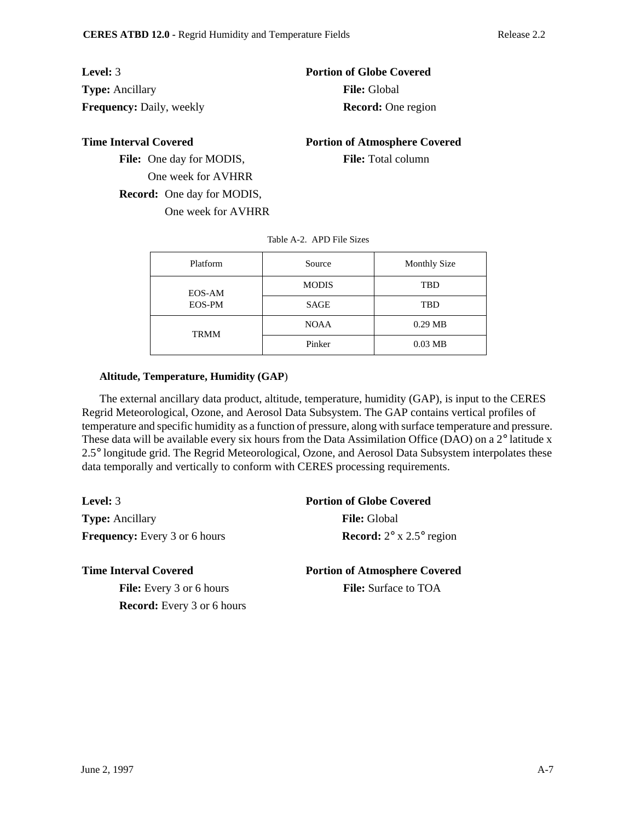| <b>Level:</b> 3                 | <b>Portion of Globe Covered</b> |
|---------------------------------|---------------------------------|
| <b>Type:</b> Ancillary          | <b>File:</b> Global             |
| <b>Frequency:</b> Daily, weekly | <b>Record:</b> One region       |

**Time Interval Covered 2008 Portion of Atmosphere Covered** 

File: One day for MODIS, File: Total column One week for AVHRR **Record:** One day for MODIS, One week for AVHRR

| Platform         | Source       | <b>Monthly Size</b> |
|------------------|--------------|---------------------|
| EOS-AM<br>EOS-PM | <b>MODIS</b> | TBD                 |
|                  | <b>SAGE</b>  | TBD                 |
| <b>TRMM</b>      | <b>NOAA</b>  | $0.29$ MB           |
|                  | Pinker       | $0.03$ MB           |

#### Table A-2. APD File Sizes

### **Altitude, Temperature, Humidity (GAP**)

The external ancillary data product, altitude, temperature, humidity (GAP), is input to the CERES Regrid Meteorological, Ozone, and Aerosol Data Subsystem. The GAP contains vertical profiles of temperature and specific humidity as a function of pressure, along with surface temperature and pressure. These data will be available every six hours from the Data Assimilation Office (DAO) on a 2° latitude x 2.5° longitude grid. The Regrid Meteorological, Ozone, and Aerosol Data Subsystem interpolates these data temporally and vertically to conform with CERES processing requirements.

**Level:** 3 **Portion of Globe Covered Type:** Ancillary **File:** Global **Frequency:** Every 3 or 6 hours **Record:**  $2^{\circ}$  x 2.5° region

File: Every 3 or 6 hours **File:** Surface to TOA

**Record:** Every 3 or 6 hours

**Time Interval Covered 2008 Portion of Atmosphere Covered**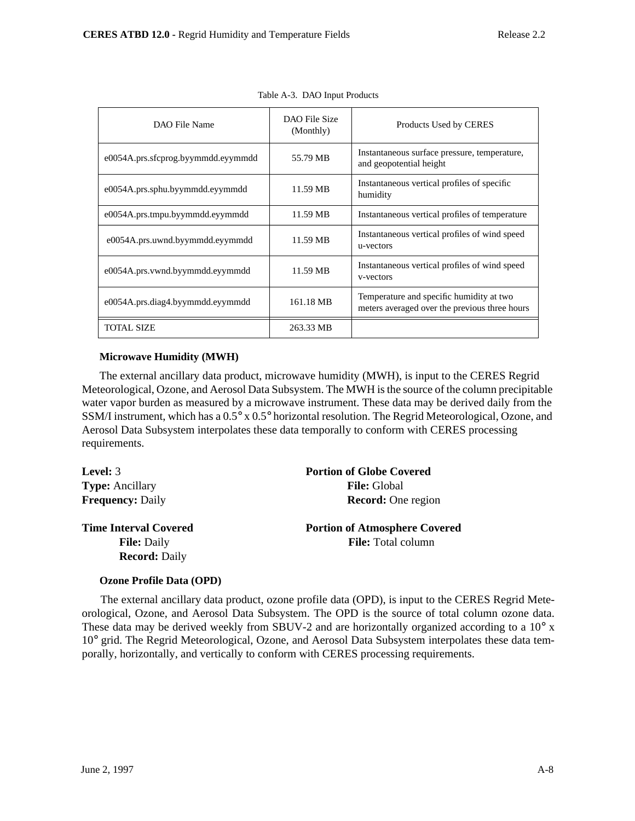| DAO File Name                      | DAO File Size<br>(Monthly) | Products Used by CERES                                                                    |
|------------------------------------|----------------------------|-------------------------------------------------------------------------------------------|
| e0054A.prs.sfcprog.byymmdd.eyymmdd | 55.79 MB                   | Instantaneous surface pressure, temperature,<br>and geopotential height                   |
| e0054A.prs.sphu.byymmdd.eyymmdd    | 11.59 MB                   | Instantaneous vertical profiles of specific<br>humidity                                   |
| e0054A.prs.tmpu.byymmdd.eyymmdd    | 11.59 MB                   | Instantaneous vertical profiles of temperature                                            |
| e0054A.prs.uwnd.byymmdd.eyymmdd    | 11.59 MB                   | Instantaneous vertical profiles of wind speed<br>u-vectors                                |
| e0054A.prs.vwnd.byymmdd.eyymmdd    | 11.59 MB                   | Instantaneous vertical profiles of wind speed<br>v-vectors                                |
| e0054A.prs.diag4.byymmdd.eyymmdd   | 161.18 MB                  | Temperature and specific humidity at two<br>meters averaged over the previous three hours |
| <b>TOTAL SIZE</b>                  | 263.33 MB                  |                                                                                           |

Table A-3. DAO Input Products

### **Microwave Humidity (MWH)**

The external ancillary data product, microwave humidity (MWH), is input to the CERES Regrid Meteorological, Ozone, and Aerosol Data Subsystem. The MWH is the source of the column precipitable water vapor burden as measured by a microwave instrument. These data may be derived daily from the SSM/I instrument, which has a 0.5° x 0.5° horizontal resolution. The Regrid Meteorological, Ozone, and Aerosol Data Subsystem interpolates these data temporally to conform with CERES processing requirements.

| <b>Portion of Globe Covered</b>      |
|--------------------------------------|
| <b>File:</b> Global                  |
| <b>Record:</b> One region            |
| <b>Portion of Atmosphere Covered</b> |
| <b>File:</b> Total column            |
|                                      |
|                                      |

### **Ozone Profile Data (OPD)**

The external ancillary data product, ozone profile data (OPD), is input to the CERES Regrid Meteorological, Ozone, and Aerosol Data Subsystem. The OPD is the source of total column ozone data. These data may be derived weekly from SBUV-2 and are horizontally organized according to a 10° x 10° grid. The Regrid Meteorological, Ozone, and Aerosol Data Subsystem interpolates these data temporally, horizontally, and vertically to conform with CERES processing requirements.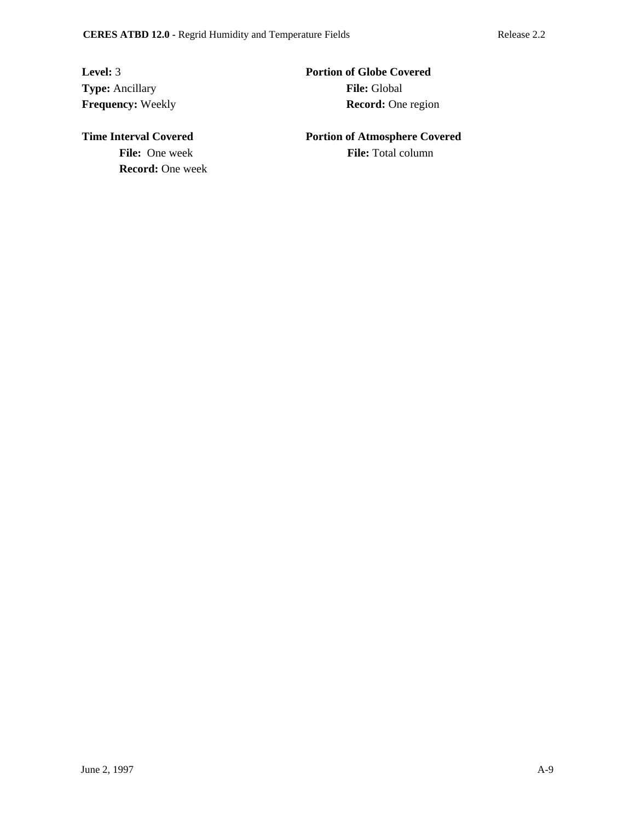**Type:** Ancillary **File:** Global

**Level:** 3 **Portion of Globe Covered Frequency:** Weekly **Record:** One region

**File:** One week **File:** Total column **Record:** One week

**Time Interval Covered 2008 Portion of Atmosphere Covered**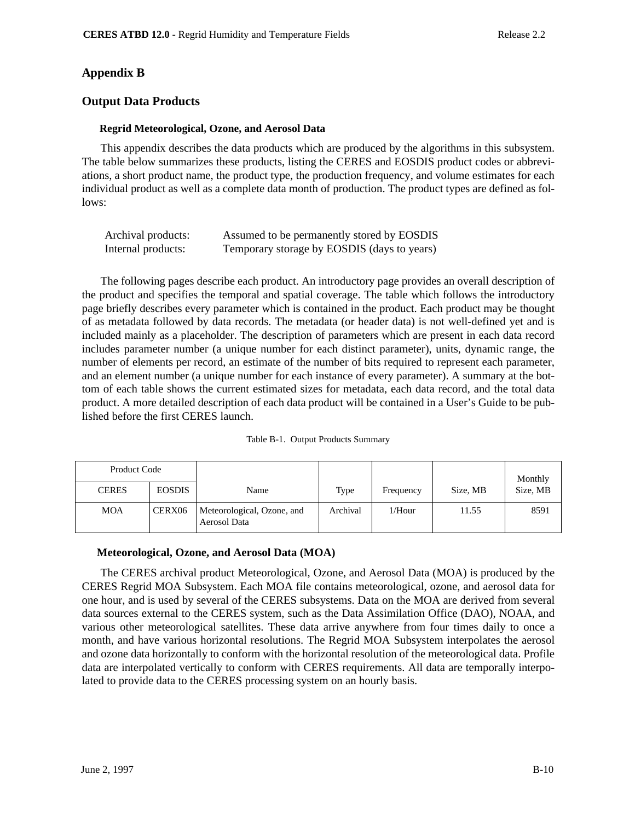# **Appendix B**

## **Output Data Products**

### **Regrid Meteorological, Ozone, and Aerosol Data**

This appendix describes the data products which are produced by the algorithms in this subsystem. The table below summarizes these products, listing the CERES and EOSDIS product codes or abbreviations, a short product name, the product type, the production frequency, and volume estimates for each individual product as well as a complete data month of production. The product types are defined as follows:

| Archival products: | Assumed to be permanently stored by EOSDIS  |
|--------------------|---------------------------------------------|
| Internal products: | Temporary storage by EOSDIS (days to years) |

The following pages describe each product. An introductory page provides an overall description of the product and specifies the temporal and spatial coverage. The table which follows the introductory page briefly describes every parameter which is contained in the product. Each product may be thought of as metadata followed by data records. The metadata (or header data) is not well-defined yet and is included mainly as a placeholder. The description of parameters which are present in each data record includes parameter number (a unique number for each distinct parameter), units, dynamic range, the number of elements per record, an estimate of the number of bits required to represent each parameter, and an element number (a unique number for each instance of every parameter). A summary at the bottom of each table shows the current estimated sizes for metadata, each data record, and the total data product. A more detailed description of each data product will be contained in a User's Guide to be published before the first CERES launch.

|  | Table B-1. Output Products Summary |  |
|--|------------------------------------|--|
|--|------------------------------------|--|

| Product Code |               |                                            |          |           |          | Monthly  |
|--------------|---------------|--------------------------------------------|----------|-----------|----------|----------|
| <b>CERES</b> | <b>EOSDIS</b> | Name                                       | Type     | Frequency | Size, MB | Size, MB |
| <b>MOA</b>   | CERX06        | Meteorological, Ozone, and<br>Aerosol Data | Archival | $1/H$ our | 11.55    | 8591     |

## **Meteorological, Ozone, and Aerosol Data (MOA)**

The CERES archival product Meteorological, Ozone, and Aerosol Data (MOA) is produced by the CERES Regrid MOA Subsystem. Each MOA file contains meteorological, ozone, and aerosol data for one hour, and is used by several of the CERES subsystems. Data on the MOA are derived from several data sources external to the CERES system, such as the Data Assimilation Office (DAO), NOAA, and various other meteorological satellites. These data arrive anywhere from four times daily to once a month, and have various horizontal resolutions. The Regrid MOA Subsystem interpolates the aerosol and ozone data horizontally to conform with the horizontal resolution of the meteorological data. Profile data are interpolated vertically to conform with CERES requirements. All data are temporally interpolated to provide data to the CERES processing system on an hourly basis.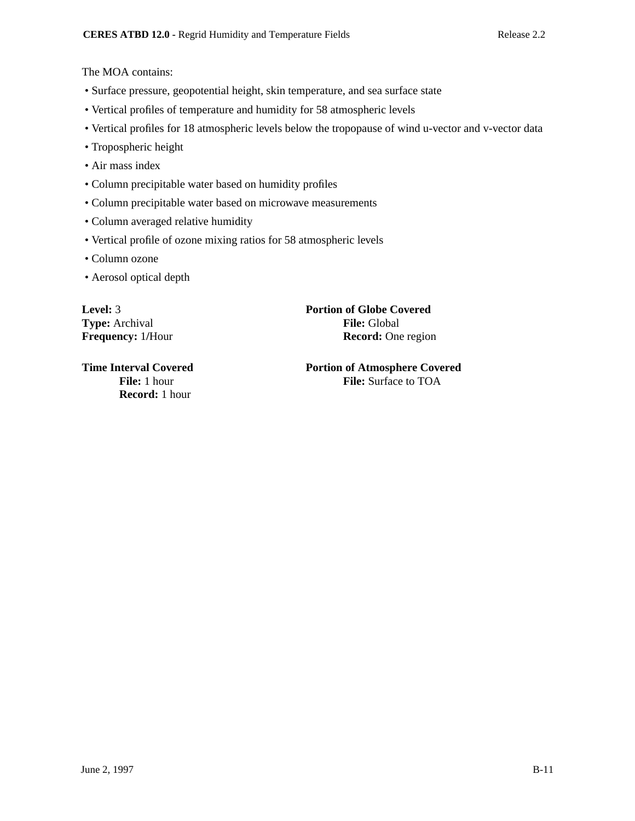The MOA contains:

- Surface pressure, geopotential height, skin temperature, and sea surface state
- Vertical profiles of temperature and humidity for 58 atmospheric levels
- Vertical profiles for 18 atmospheric levels below the tropopause of wind u-vector and v-vector data
- Tropospheric height
- Air mass index
- Column precipitable water based on humidity profiles
- Column precipitable water based on microwave measurements
- Column averaged relative humidity
- Vertical profile of ozone mixing ratios for 58 atmospheric levels
- Column ozone
- Aerosol optical depth

**Record:** 1 hour

**Level:** 3 **Portion of Globe Covered Type:** Archival **File:** Global **Frequency:** 1/Hour **Record:** One region

**Time Interval Covered 2008 Portion of Atmosphere Covered** File: 1 hour **File:** Surface to TOA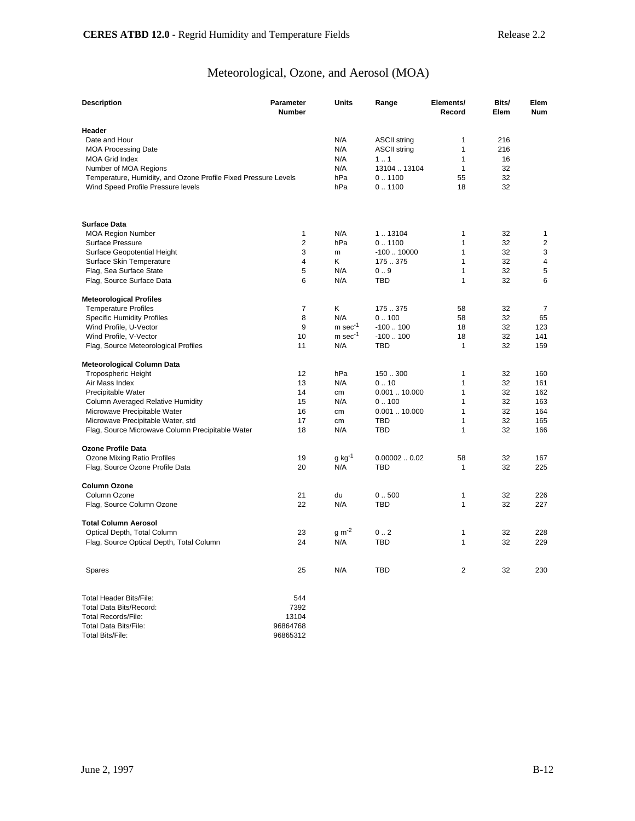# Meteorological, Ozone, and Aerosol (MOA)

| <b>Description</b>                                             | Parameter<br><b>Number</b> | <b>Units</b>          | Range                     | Elements/<br>Record | Bits/<br>Elem | Elem<br><b>Num</b> |
|----------------------------------------------------------------|----------------------------|-----------------------|---------------------------|---------------------|---------------|--------------------|
| Header                                                         |                            |                       |                           |                     |               |                    |
| Date and Hour                                                  |                            | N/A                   | <b>ASCII string</b>       | 1                   | 216           |                    |
| <b>MOA Processing Date</b>                                     |                            | N/A                   | <b>ASCII string</b>       | $\mathbf{1}$        | 216           |                    |
| <b>MOA Grid Index</b>                                          |                            | N/A                   | 11                        | 1                   | 16            |                    |
| Number of MOA Regions                                          |                            | N/A                   | 13104  13104              | 1                   | 32            |                    |
| Temperature, Humidity, and Ozone Profile Fixed Pressure Levels |                            | hPa                   | 0.1100                    | 55                  | 32            |                    |
| Wind Speed Profile Pressure levels                             |                            | hPa                   | 0.1100                    | 18                  | 32            |                    |
| <b>Surface Data</b>                                            |                            |                       |                           |                     |               |                    |
| <b>MOA Region Number</b>                                       | 1                          | N/A                   | 1.13104                   | 1                   | 32            | 1                  |
| Surface Pressure                                               | $\overline{2}$             | hPa                   | 0.1100                    | $\mathbf{1}$        | 32            | $\overline{2}$     |
| Surface Geopotential Height                                    | 3                          | m                     | $-10010000$               | $\mathbf{1}$        | 32            | 3                  |
| Surface Skin Temperature                                       | 4                          | Κ                     | 175.375                   | $\mathbf{1}$        | 32            | 4                  |
| Flag, Sea Surface State                                        | 5                          | N/A                   | 0.9                       | $\mathbf{1}$        | 32            | 5                  |
| Flag, Source Surface Data                                      | 6                          | N/A                   | <b>TBD</b>                | $\mathbf{1}$        | 32            | 6                  |
| <b>Meteorological Profiles</b>                                 |                            |                       |                           |                     |               |                    |
| <b>Temperature Profiles</b>                                    | $\overline{7}$             | Κ                     | 175.375                   | 58                  | 32            | $\overline{7}$     |
| <b>Specific Humidity Profiles</b>                              | 8                          | N/A                   | 0.100                     | 58                  | 32            | 65                 |
| Wind Profile, U-Vector                                         | 9                          | $m$ sec $^{-1}$       | $-100100$                 | 18                  | 32            | 123                |
| Wind Profile, V-Vector                                         | 10                         | $m$ sec <sup>-1</sup> | $-100100$                 | 18                  | 32            | 141                |
| Flag, Source Meteorological Profiles                           | 11                         | N/A                   | <b>TBD</b>                | 1                   | 32            | 159                |
| Meteorological Column Data                                     |                            |                       |                           |                     |               |                    |
| <b>Tropospheric Height</b>                                     | 12                         | hPa                   | 150.300                   | 1                   | 32            | 160                |
| Air Mass Index                                                 | 13                         | N/A                   | 0.10                      | $\mathbf{1}$        | 32            | 161                |
| Precipitable Water                                             | 14                         | cm                    | 0.00110.000               | $\mathbf{1}$        | 32            | 162                |
| Column Averaged Relative Humidity                              | 15                         | N/A                   | 0.100                     | $\mathbf{1}$        | 32            | 163                |
| Microwave Precipitable Water                                   | 16                         | cm                    | $0.001$ $.10.000$         | 1                   | 32            | 164                |
| Microwave Precipitable Water, std                              | 17                         | cm                    | <b>TBD</b>                | $\mathbf{1}$        | 32            | 165                |
| Flag, Source Microwave Column Precipitable Water               | 18                         | N/A                   | <b>TBD</b>                | $\mathbf{1}$        | 32            | 166                |
| Ozone Profile Data                                             |                            |                       |                           | 58                  | 32            | 167                |
| Ozone Mixing Ratio Profiles<br>Flag, Source Ozone Profile Data | 19<br>20                   | $g kg^{-1}$<br>N/A    | 0.000020.02<br><b>TBD</b> | $\mathbf{1}$        | 32            | 225                |
|                                                                |                            |                       |                           |                     |               |                    |
| <b>Column Ozone</b><br>Column Ozone                            | 21                         | du                    | 0.500                     | 1                   | 32            | 226                |
| Flag, Source Column Ozone                                      | 22                         | N/A                   | TBD                       | 1                   | 32            | 227                |
| <b>Total Column Aerosol</b>                                    |                            |                       |                           |                     |               |                    |
| Optical Depth, Total Column                                    | 23                         | $g m-2$               | 0.2                       | 1                   | 32            | 228                |
| Flag, Source Optical Depth, Total Column                       | 24                         | N/A                   | TBD                       | $\mathbf{1}$        | 32            | 229                |
| Spares                                                         | 25                         | N/A                   | <b>TBD</b>                | 2                   | 32            | 230                |
| Total Header Bits/File:                                        | 544                        |                       |                           |                     |               |                    |
| <b>Total Data Bits/Record:</b>                                 | 7392                       |                       |                           |                     |               |                    |
| <b>Total Records/File:</b>                                     | 13104                      |                       |                           |                     |               |                    |
|                                                                |                            |                       |                           |                     |               |                    |

| Total Records/File:   | 13104    |
|-----------------------|----------|
| Total Data Bits/File: | 96864768 |
| Total Bits/File:      | 96865312 |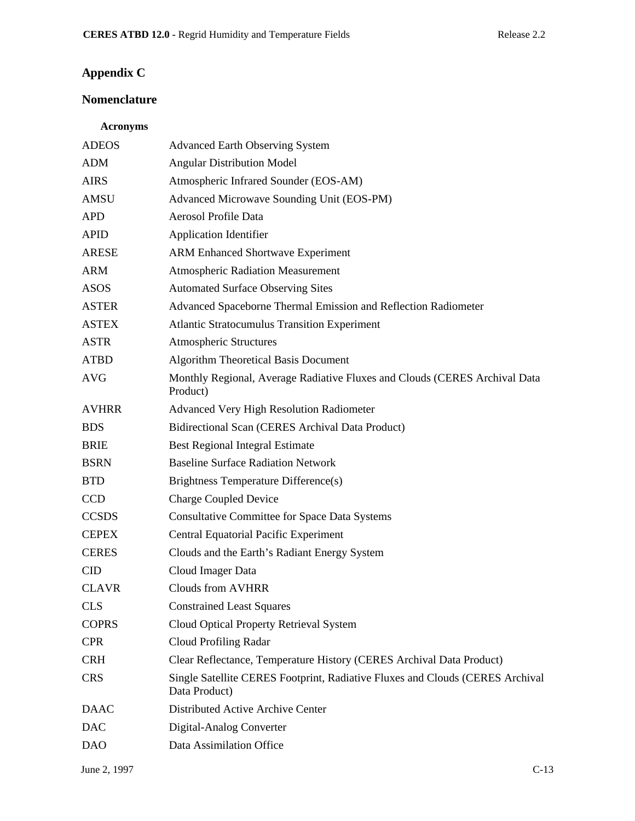# **Appendix C**

# **Nomenclature**

## **Acronyms**

| <b>ADEOS</b> | <b>Advanced Earth Observing System</b>                                                         |
|--------------|------------------------------------------------------------------------------------------------|
| <b>ADM</b>   | <b>Angular Distribution Model</b>                                                              |
| <b>AIRS</b>  | Atmospheric Infrared Sounder (EOS-AM)                                                          |
| <b>AMSU</b>  | Advanced Microwave Sounding Unit (EOS-PM)                                                      |
| <b>APD</b>   | Aerosol Profile Data                                                                           |
| <b>APID</b>  | <b>Application Identifier</b>                                                                  |
| <b>ARESE</b> | <b>ARM Enhanced Shortwave Experiment</b>                                                       |
| <b>ARM</b>   | <b>Atmospheric Radiation Measurement</b>                                                       |
| <b>ASOS</b>  | <b>Automated Surface Observing Sites</b>                                                       |
| <b>ASTER</b> | Advanced Spaceborne Thermal Emission and Reflection Radiometer                                 |
| <b>ASTEX</b> | <b>Atlantic Stratocumulus Transition Experiment</b>                                            |
| <b>ASTR</b>  | <b>Atmospheric Structures</b>                                                                  |
| <b>ATBD</b>  | <b>Algorithm Theoretical Basis Document</b>                                                    |
| <b>AVG</b>   | Monthly Regional, Average Radiative Fluxes and Clouds (CERES Archival Data<br>Product)         |
| <b>AVHRR</b> | <b>Advanced Very High Resolution Radiometer</b>                                                |
| <b>BDS</b>   | Bidirectional Scan (CERES Archival Data Product)                                               |
| <b>BRIE</b>  | <b>Best Regional Integral Estimate</b>                                                         |
| <b>BSRN</b>  | <b>Baseline Surface Radiation Network</b>                                                      |
| <b>BTD</b>   | Brightness Temperature Difference(s)                                                           |
| CCD          | <b>Charge Coupled Device</b>                                                                   |
| <b>CCSDS</b> | <b>Consultative Committee for Space Data Systems</b>                                           |
| <b>CEPEX</b> | <b>Central Equatorial Pacific Experiment</b>                                                   |
| <b>CERES</b> | Clouds and the Earth's Radiant Energy System                                                   |
| <b>CID</b>   | Cloud Imager Data                                                                              |
| <b>CLAVR</b> | <b>Clouds from AVHRR</b>                                                                       |
| <b>CLS</b>   | <b>Constrained Least Squares</b>                                                               |
| <b>COPRS</b> | Cloud Optical Property Retrieval System                                                        |
| <b>CPR</b>   | Cloud Profiling Radar                                                                          |
| <b>CRH</b>   | Clear Reflectance, Temperature History (CERES Archival Data Product)                           |
| <b>CRS</b>   | Single Satellite CERES Footprint, Radiative Fluxes and Clouds (CERES Archival<br>Data Product) |
| <b>DAAC</b>  | Distributed Active Archive Center                                                              |
| <b>DAC</b>   | Digital-Analog Converter                                                                       |
| <b>DAO</b>   | Data Assimilation Office                                                                       |
|              |                                                                                                |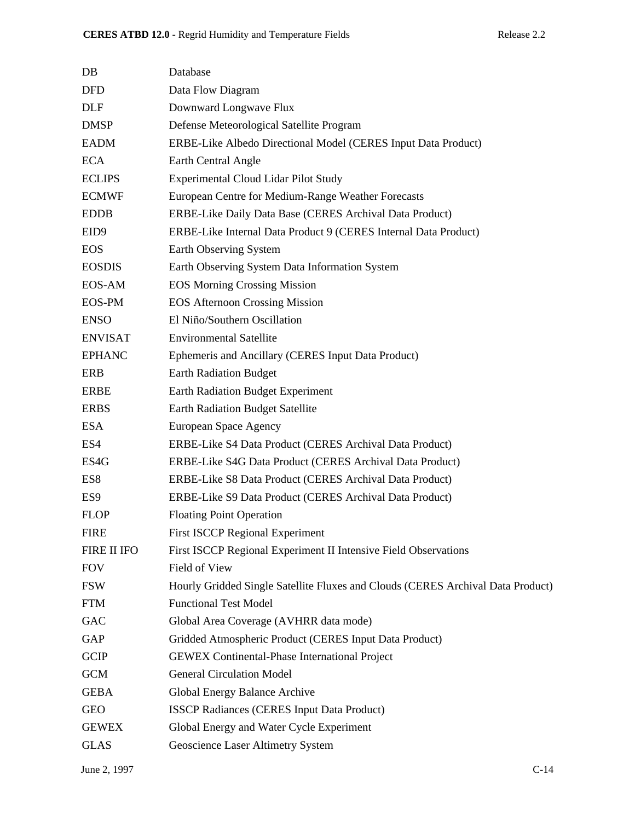| DB                 | Database                                                                        |
|--------------------|---------------------------------------------------------------------------------|
| <b>DFD</b>         | Data Flow Diagram                                                               |
| <b>DLF</b>         | Downward Longwave Flux                                                          |
| <b>DMSP</b>        | Defense Meteorological Satellite Program                                        |
| <b>EADM</b>        | ERBE-Like Albedo Directional Model (CERES Input Data Product)                   |
| <b>ECA</b>         | Earth Central Angle                                                             |
| <b>ECLIPS</b>      | <b>Experimental Cloud Lidar Pilot Study</b>                                     |
| <b>ECMWF</b>       | European Centre for Medium-Range Weather Forecasts                              |
| <b>EDDB</b>        | ERBE-Like Daily Data Base (CERES Archival Data Product)                         |
| EID9               | ERBE-Like Internal Data Product 9 (CERES Internal Data Product)                 |
| <b>EOS</b>         | Earth Observing System                                                          |
| <b>EOSDIS</b>      | Earth Observing System Data Information System                                  |
| EOS-AM             | <b>EOS Morning Crossing Mission</b>                                             |
| <b>EOS-PM</b>      | <b>EOS Afternoon Crossing Mission</b>                                           |
| <b>ENSO</b>        | El Niño/Southern Oscillation                                                    |
| <b>ENVISAT</b>     | <b>Environmental Satellite</b>                                                  |
| <b>EPHANC</b>      | Ephemeris and Ancillary (CERES Input Data Product)                              |
| <b>ERB</b>         | <b>Earth Radiation Budget</b>                                                   |
| ERBE               | Earth Radiation Budget Experiment                                               |
| <b>ERBS</b>        | <b>Earth Radiation Budget Satellite</b>                                         |
| <b>ESA</b>         | European Space Agency                                                           |
| ES4                | ERBE-Like S4 Data Product (CERES Archival Data Product)                         |
| ES4G               | ERBE-Like S4G Data Product (CERES Archival Data Product)                        |
| ES8                | ERBE-Like S8 Data Product (CERES Archival Data Product)                         |
| ES <sub>9</sub>    | ERBE-Like S9 Data Product (CERES Archival Data Product)                         |
| <b>FLOP</b>        | <b>Floating Point Operation</b>                                                 |
| <b>FIRE</b>        | <b>First ISCCP Regional Experiment</b>                                          |
| <b>FIRE II IFO</b> | First ISCCP Regional Experiment II Intensive Field Observations                 |
| <b>FOV</b>         | Field of View                                                                   |
| <b>FSW</b>         | Hourly Gridded Single Satellite Fluxes and Clouds (CERES Archival Data Product) |
| <b>FTM</b>         | <b>Functional Test Model</b>                                                    |
| GAC                | Global Area Coverage (AVHRR data mode)                                          |
| GAP                | Gridded Atmospheric Product (CERES Input Data Product)                          |
| <b>GCIP</b>        | <b>GEWEX</b> Continental-Phase International Project                            |
| <b>GCM</b>         | <b>General Circulation Model</b>                                                |
| <b>GEBA</b>        | Global Energy Balance Archive                                                   |
| <b>GEO</b>         | <b>ISSCP Radiances (CERES Input Data Product)</b>                               |
| <b>GEWEX</b>       | Global Energy and Water Cycle Experiment                                        |
| <b>GLAS</b>        | Geoscience Laser Altimetry System                                               |
|                    |                                                                                 |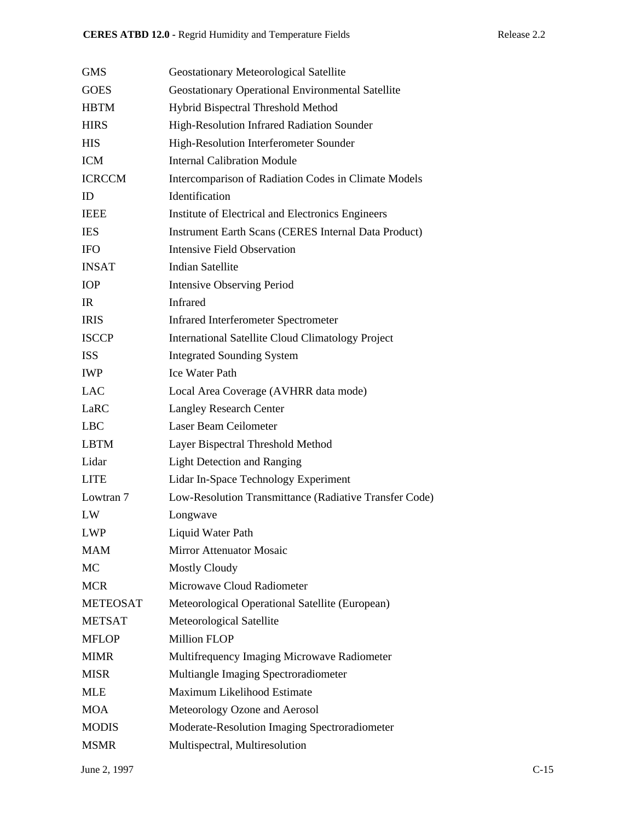| <b>GMS</b>      | Geostationary Meteorological Satellite                      |
|-----------------|-------------------------------------------------------------|
| <b>GOES</b>     | Geostationary Operational Environmental Satellite           |
| <b>HBTM</b>     | Hybrid Bispectral Threshold Method                          |
| <b>HIRS</b>     | High-Resolution Infrared Radiation Sounder                  |
| <b>HIS</b>      | High-Resolution Interferometer Sounder                      |
| <b>ICM</b>      | <b>Internal Calibration Module</b>                          |
| <b>ICRCCM</b>   | Intercomparison of Radiation Codes in Climate Models        |
| ID              | Identification                                              |
| <b>IEEE</b>     | Institute of Electrical and Electronics Engineers           |
| <b>IES</b>      | <b>Instrument Earth Scans (CERES Internal Data Product)</b> |
| <b>IFO</b>      | <b>Intensive Field Observation</b>                          |
| <b>INSAT</b>    | <b>Indian Satellite</b>                                     |
| <b>IOP</b>      | <b>Intensive Observing Period</b>                           |
| IR              | <b>Infrared</b>                                             |
| <b>IRIS</b>     | <b>Infrared Interferometer Spectrometer</b>                 |
| <b>ISCCP</b>    | <b>International Satellite Cloud Climatology Project</b>    |
| <b>ISS</b>      | <b>Integrated Sounding System</b>                           |
| <b>IWP</b>      | <b>Ice Water Path</b>                                       |
| <b>LAC</b>      | Local Area Coverage (AVHRR data mode)                       |
| LaRC            | <b>Langley Research Center</b>                              |
| <b>LBC</b>      | Laser Beam Ceilometer                                       |
| <b>LBTM</b>     | Layer Bispectral Threshold Method                           |
| Lidar           | <b>Light Detection and Ranging</b>                          |
| <b>LITE</b>     | Lidar In-Space Technology Experiment                        |
| Lowtran 7       | Low-Resolution Transmittance (Radiative Transfer Code)      |
| LW              | Longwave                                                    |
| <b>LWP</b>      | Liquid Water Path                                           |
| <b>MAM</b>      | <b>Mirror Attenuator Mosaic</b>                             |
| MC              | <b>Mostly Cloudy</b>                                        |
| <b>MCR</b>      | Microwave Cloud Radiometer                                  |
| <b>METEOSAT</b> | Meteorological Operational Satellite (European)             |
| <b>METSAT</b>   | Meteorological Satellite                                    |
| <b>MFLOP</b>    | <b>Million FLOP</b>                                         |
| <b>MIMR</b>     | Multifrequency Imaging Microwave Radiometer                 |
| <b>MISR</b>     | Multiangle Imaging Spectroradiometer                        |
| <b>MLE</b>      | Maximum Likelihood Estimate                                 |
| <b>MOA</b>      | Meteorology Ozone and Aerosol                               |
| <b>MODIS</b>    | Moderate-Resolution Imaging Spectroradiometer               |
| <b>MSMR</b>     | Multispectral, Multiresolution                              |
|                 |                                                             |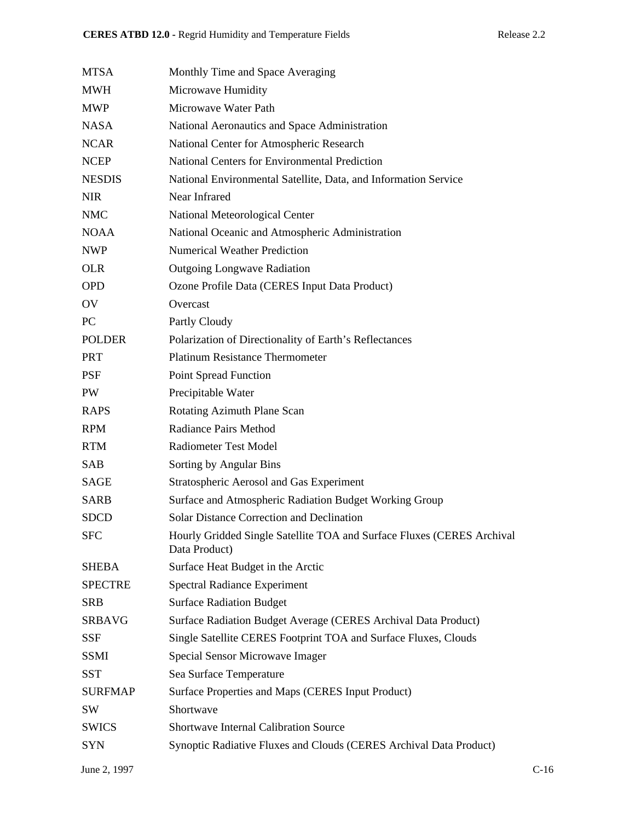| <b>MTSA</b>    | Monthly Time and Space Averaging                                                        |        |
|----------------|-----------------------------------------------------------------------------------------|--------|
| <b>MWH</b>     | Microwave Humidity                                                                      |        |
| <b>MWP</b>     | Microwave Water Path                                                                    |        |
| <b>NASA</b>    | National Aeronautics and Space Administration                                           |        |
| <b>NCAR</b>    | National Center for Atmospheric Research                                                |        |
| <b>NCEP</b>    | National Centers for Environmental Prediction                                           |        |
| <b>NESDIS</b>  | National Environmental Satellite, Data, and Information Service                         |        |
| <b>NIR</b>     | Near Infrared                                                                           |        |
| <b>NMC</b>     | National Meteorological Center                                                          |        |
| <b>NOAA</b>    | National Oceanic and Atmospheric Administration                                         |        |
| <b>NWP</b>     | <b>Numerical Weather Prediction</b>                                                     |        |
| <b>OLR</b>     | <b>Outgoing Longwave Radiation</b>                                                      |        |
| <b>OPD</b>     | Ozone Profile Data (CERES Input Data Product)                                           |        |
| OV             | Overcast                                                                                |        |
| PC             | Partly Cloudy                                                                           |        |
| <b>POLDER</b>  | Polarization of Directionality of Earth's Reflectances                                  |        |
| <b>PRT</b>     | <b>Platinum Resistance Thermometer</b>                                                  |        |
| <b>PSF</b>     | <b>Point Spread Function</b>                                                            |        |
| PW             | Precipitable Water                                                                      |        |
| <b>RAPS</b>    | Rotating Azimuth Plane Scan                                                             |        |
| <b>RPM</b>     | <b>Radiance Pairs Method</b>                                                            |        |
| <b>RTM</b>     | <b>Radiometer Test Model</b>                                                            |        |
| <b>SAB</b>     | Sorting by Angular Bins                                                                 |        |
| <b>SAGE</b>    | Stratospheric Aerosol and Gas Experiment                                                |        |
| <b>SARB</b>    | Surface and Atmospheric Radiation Budget Working Group                                  |        |
| <b>SDCD</b>    | <b>Solar Distance Correction and Declination</b>                                        |        |
| <b>SFC</b>     | Hourly Gridded Single Satellite TOA and Surface Fluxes (CERES Archival<br>Data Product) |        |
| <b>SHEBA</b>   | Surface Heat Budget in the Arctic                                                       |        |
| <b>SPECTRE</b> | <b>Spectral Radiance Experiment</b>                                                     |        |
| <b>SRB</b>     | <b>Surface Radiation Budget</b>                                                         |        |
| <b>SRBAVG</b>  | Surface Radiation Budget Average (CERES Archival Data Product)                          |        |
| <b>SSF</b>     | Single Satellite CERES Footprint TOA and Surface Fluxes, Clouds                         |        |
| <b>SSMI</b>    | Special Sensor Microwave Imager                                                         |        |
| <b>SST</b>     | Sea Surface Temperature                                                                 |        |
| <b>SURFMAP</b> | Surface Properties and Maps (CERES Input Product)                                       |        |
| <b>SW</b>      | Shortwave                                                                               |        |
| <b>SWICS</b>   | <b>Shortwave Internal Calibration Source</b>                                            |        |
| <b>SYN</b>     | Synoptic Radiative Fluxes and Clouds (CERES Archival Data Product)                      |        |
| June 2, 1997   |                                                                                         | $C-16$ |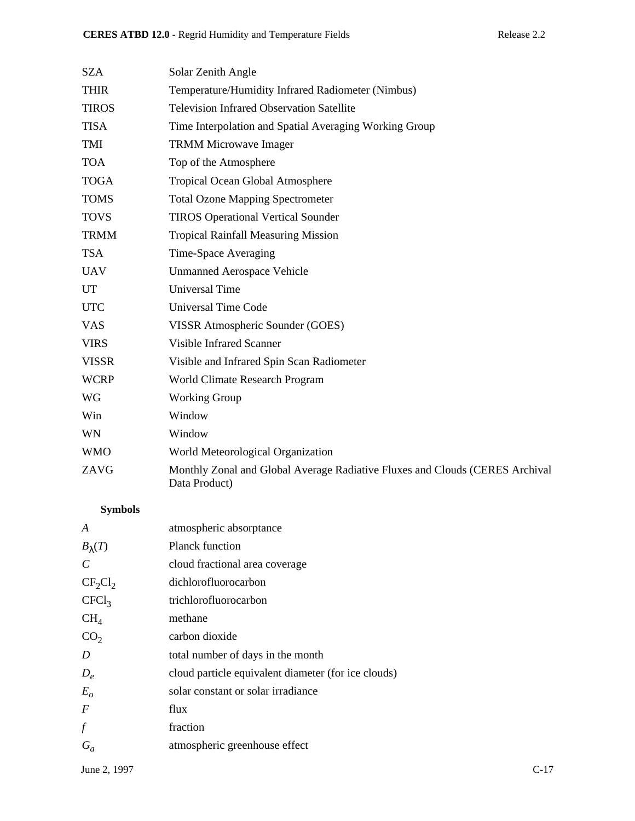| SZA          | Solar Zenith Angle                                                                            |
|--------------|-----------------------------------------------------------------------------------------------|
| <b>THIR</b>  | Temperature/Humidity Infrared Radiometer (Nimbus)                                             |
| <b>TIROS</b> | <b>Television Infrared Observation Satellite</b>                                              |
| <b>TISA</b>  | Time Interpolation and Spatial Averaging Working Group                                        |
| <b>TMI</b>   | <b>TRMM Microwave Imager</b>                                                                  |
| <b>TOA</b>   | Top of the Atmosphere                                                                         |
| <b>TOGA</b>  | <b>Tropical Ocean Global Atmosphere</b>                                                       |
| <b>TOMS</b>  | <b>Total Ozone Mapping Spectrometer</b>                                                       |
| <b>TOVS</b>  | <b>TIROS Operational Vertical Sounder</b>                                                     |
| <b>TRMM</b>  | <b>Tropical Rainfall Measuring Mission</b>                                                    |
| <b>TSA</b>   | Time-Space Averaging                                                                          |
| <b>UAV</b>   | <b>Unmanned Aerospace Vehicle</b>                                                             |
| <b>UT</b>    | <b>Universal Time</b>                                                                         |
| <b>UTC</b>   | <b>Universal Time Code</b>                                                                    |
| <b>VAS</b>   | VISSR Atmospheric Sounder (GOES)                                                              |
| <b>VIRS</b>  | <b>Visible Infrared Scanner</b>                                                               |
| <b>VISSR</b> | Visible and Infrared Spin Scan Radiometer                                                     |
| <b>WCRP</b>  | World Climate Research Program                                                                |
| WG           | <b>Working Group</b>                                                                          |
| Win          | Window                                                                                        |
| WN           | Window                                                                                        |
| <b>WMO</b>   | World Meteorological Organization                                                             |
| ZAVG         | Monthly Zonal and Global Average Radiative Fluxes and Clouds (CERES Archival<br>Data Product) |
|              |                                                                                               |

# **Symbols**

| A                 | atmospheric absorptance                             |
|-------------------|-----------------------------------------------------|
| $B_{\lambda}(T)$  | Planck function                                     |
| C                 | cloud fractional area coverage                      |
| $CF_2Cl_2$        | dichlorofluorocarbon                                |
| CFCl <sub>3</sub> | trichlorofluorocarbon                               |
| CH <sub>4</sub>   | methane                                             |
| CO <sub>2</sub>   | carbon dioxide                                      |
| D                 | total number of days in the month                   |
| $D_e$             | cloud particle equivalent diameter (for ice clouds) |
| $E_{o}$           | solar constant or solar irradiance                  |
| $\overline{F}$    | flux                                                |
| $\int f$          | fraction                                            |
| $G_a$             | atmospheric greenhouse effect                       |
|                   |                                                     |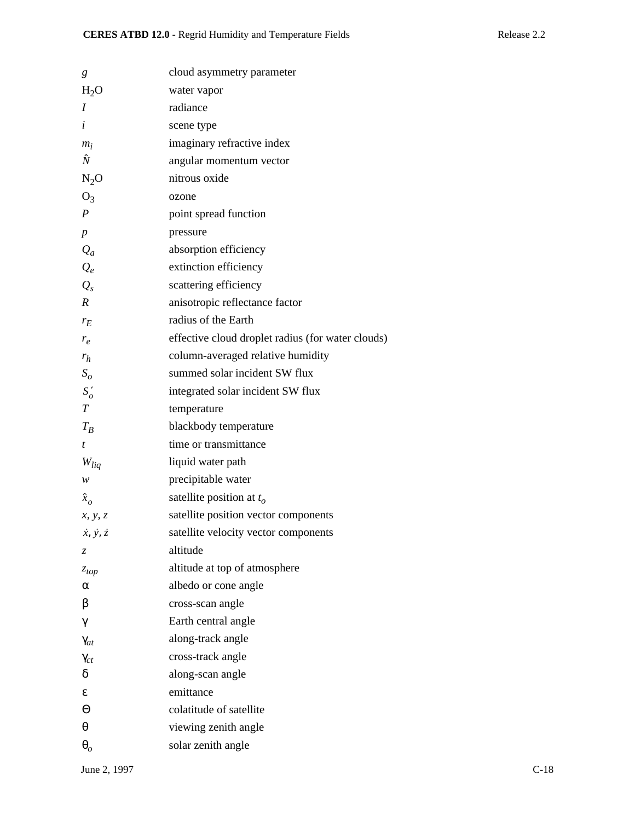| g                           | cloud asymmetry parameter                         |
|-----------------------------|---------------------------------------------------|
| $H_2O$                      | water vapor                                       |
| I                           | radiance                                          |
| i                           | scene type                                        |
| $m_i$                       | imaginary refractive index                        |
| Ñ                           | angular momentum vector                           |
| $N_2O$                      | nitrous oxide                                     |
| $O_3$                       | ozone                                             |
| $\boldsymbol{P}$            | point spread function                             |
| $\boldsymbol{p}$            | pressure                                          |
| $Q_a$                       | absorption efficiency                             |
| $Q_e$                       | extinction efficiency                             |
| $Q_{s}$                     | scattering efficiency                             |
| $\boldsymbol{R}$            | anisotropic reflectance factor                    |
| $r_E$                       | radius of the Earth                               |
| $r_e$                       | effective cloud droplet radius (for water clouds) |
| $r_h$                       | column-averaged relative humidity                 |
| $S_{\rm o}$                 | summed solar incident SW flux                     |
| $S'_{o}$                    | integrated solar incident SW flux                 |
| $\boldsymbol{T}$            | temperature                                       |
| $T_B$                       | blackbody temperature                             |
| t                           | time or transmittance                             |
| $W_{liq}$                   | liquid water path                                 |
| w                           | precipitable water                                |
| $\hat{x}_o$                 | satellite position at $t_o$                       |
| x, y, z                     | satellite position vector components              |
| $\dot{x}, \dot{y}, \dot{z}$ | satellite velocity vector components              |
| Z                           | altitude                                          |
| $z_{top}$                   | altitude at top of atmosphere                     |
| α                           | albedo or cone angle                              |
| β                           | cross-scan angle                                  |
| $\gamma$                    | Earth central angle                               |
| $\gamma_{at}$               | along-track angle                                 |
| $\gamma_{ct}$               | cross-track angle                                 |
| δ                           | along-scan angle                                  |
| ε                           | emittance                                         |
| Θ                           | colatitude of satellite                           |
| θ                           | viewing zenith angle                              |
| $\boldsymbol{\theta}_{o}$   | solar zenith angle                                |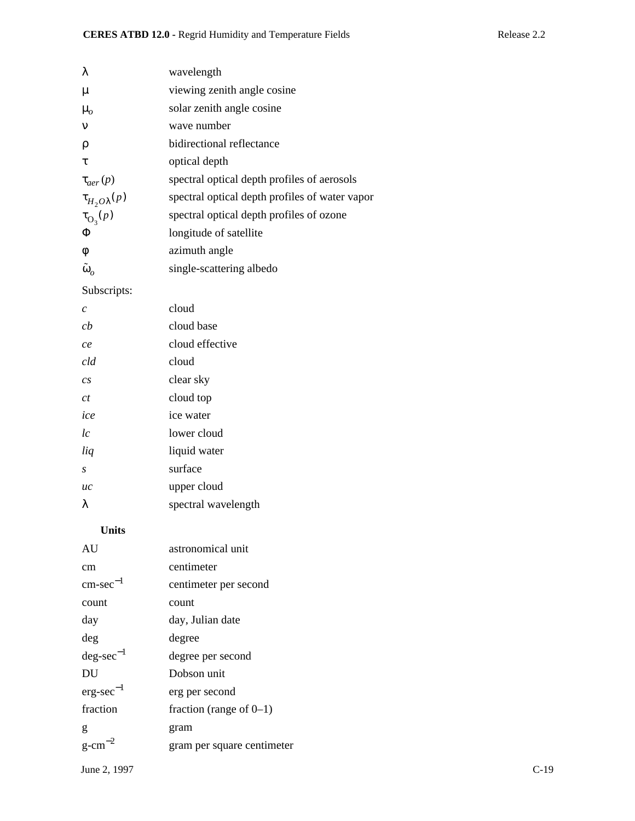| λ                       | wavelength                                     |
|-------------------------|------------------------------------------------|
| $\mu$                   | viewing zenith angle cosine                    |
| $\mu_{o}$               | solar zenith angle cosine                      |
| $\mathbf{v}$            | wave number                                    |
| ρ                       | bidirectional reflectance                      |
| τ                       | optical depth                                  |
| $\tau_{aer}(p)$         | spectral optical depth profiles of aerosols    |
| $\tau_{H_2O\lambda}(p)$ | spectral optical depth profiles of water vapor |
| $\tau_{\text{O}_3}(p)$  | spectral optical depth profiles of ozone       |
| Φ                       | longitude of satellite                         |
| $\phi$                  | azimuth angle                                  |
| $\tilde{\omega}_o$      | single-scattering albedo                       |

# Subscripts:

| C                | cloud               |
|------------------|---------------------|
| ch               | cloud base          |
| ce               | cloud effective     |
| cld              | cloud               |
| $\overline{c}$ s | clear sky           |
| Сt               | cloud top           |
| ice              | ice water           |
| lc               | lower cloud         |
| liq              | liquid water        |
| S                | surface             |
| uc               | upper cloud         |
| λ                | spectral wavelength |
|                  |                     |

## **Units**

| AU                    | astronomical unit          |        |
|-----------------------|----------------------------|--------|
| cm                    | centimeter                 |        |
| $cm\text{-}sec^{-1}$  | centimeter per second      |        |
| count                 | count                      |        |
| day                   | day, Julian date           |        |
| deg                   | degree                     |        |
| $deg\text{-}sec^{-1}$ | degree per second          |        |
| DU                    | Dobson unit                |        |
| $erg\text{-}sec^{-1}$ | erg per second             |        |
| fraction              | fraction (range of $0-1$ ) |        |
| g                     | gram                       |        |
| $g$ -cm <sup>-2</sup> | gram per square centimeter |        |
| June 2, 1997          |                            | $C-19$ |